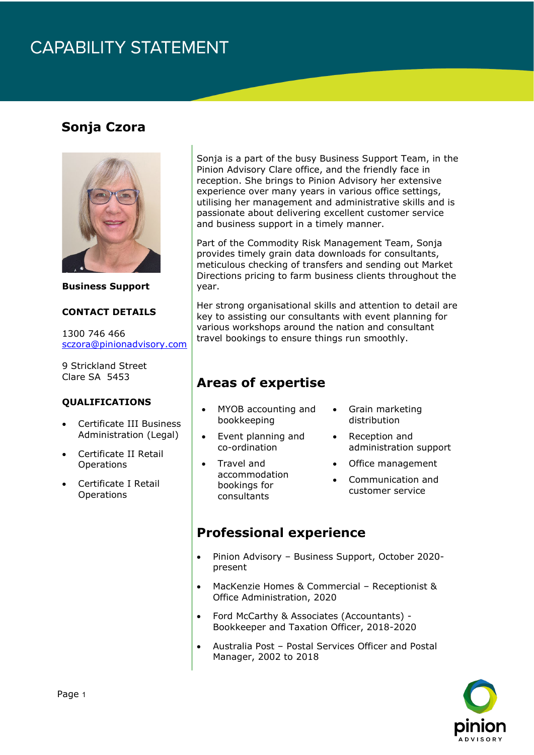# **CAPABILITY STATEMENT**

### **Sonja Czora**



**Business Support** 

#### **CONTACT DETAILS**

1300 746 466 [sczora@pinionadvisory.com](mailto:sczora@pinionadvisory.com)

9 Strickland Street Clare SA 5453

#### **QUALIFICATIONS**

- Certificate III Business Administration (Legal)
- Certificate II Retail **Operations**
- Certificate I Retail **Operations**

Sonja is a part of the busy Business Support Team, in the Pinion Advisory Clare office, and the friendly face in reception. She brings to Pinion Advisory her extensive experience over many years in various office settings, utilising her management and administrative skills and is passionate about delivering excellent customer service and business support in a timely manner.

Part of the Commodity Risk Management Team, Sonja provides timely grain data downloads for consultants, meticulous checking of transfers and sending out Market Directions pricing to farm business clients throughout the year.

Her strong organisational skills and attention to detail are key to assisting our consultants with event planning for various workshops around the nation and consultant travel bookings to ensure things run smoothly.

### **Areas of expertise**

- MYOB accounting and bookkeeping
- Grain marketing distribution
- Event planning and co-ordination
- Travel and accommodation bookings for consultants
- 
- Reception and administration support
- Office management
- Communication and customer service

#### **Professional experience**

- Pinion Advisory Business Support, October 2020 present
- MacKenzie Homes & Commercial Receptionist & Office Administration, 2020
- Ford McCarthy & Associates (Accountants) Bookkeeper and Taxation Officer, 2018-2020
- Australia Post Postal Services Officer and Postal Manager, 2002 to 2018